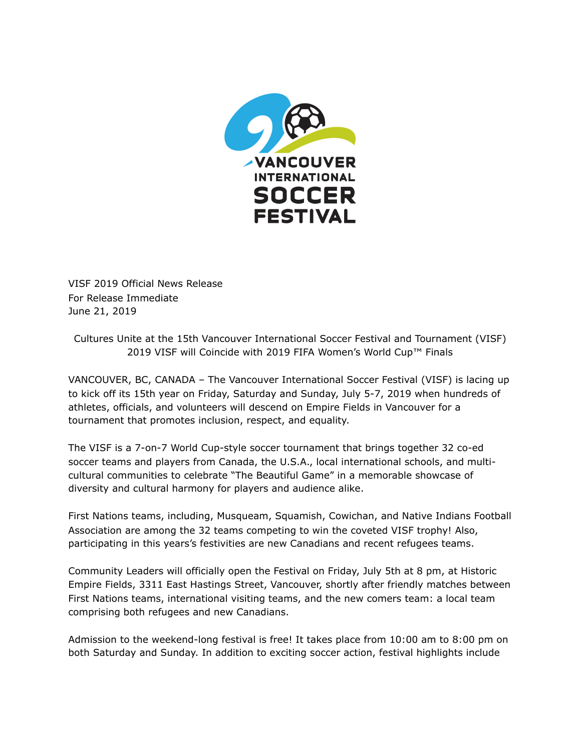

VISF 2019 Official News Release For Release Immediate June 21, 2019

Cultures Unite at the 15th Vancouver International Soccer Festival and Tournament (VISF) 2019 VISF will Coincide with 2019 FIFA Women's World Cup™ Finals

VANCOUVER, BC, CANADA – The Vancouver International Soccer Festival (VISF) is lacing up to kick off its 15th year on Friday, Saturday and Sunday, July 5-7, 2019 when hundreds of athletes, officials, and volunteers will descend on Empire Fields in Vancouver for a tournament that promotes inclusion, respect, and equality.

The VISF is a 7-on-7 World Cup-style soccer tournament that brings together 32 co-ed soccer teams and players from Canada, the U.S.A., local international schools, and multicultural communities to celebrate "The Beautiful Game" in a memorable showcase of diversity and cultural harmony for players and audience alike.

First Nations teams, including, Musqueam, Squamish, Cowichan, and Native Indians Football Association are among the 32 teams competing to win the coveted VISF trophy! Also, participating in this years's festivities are new Canadians and recent refugees teams.

Community Leaders will officially open the Festival on Friday, July 5th at 8 pm, at Historic Empire Fields, 3311 East Hastings Street, Vancouver, shortly after friendly matches between First Nations teams, international visiting teams, and the new comers team: a local team comprising both refugees and new Canadians.

Admission to the weekend-long festival is free! It takes place from 10:00 am to 8:00 pm on both Saturday and Sunday. In addition to exciting soccer action, festival highlights include